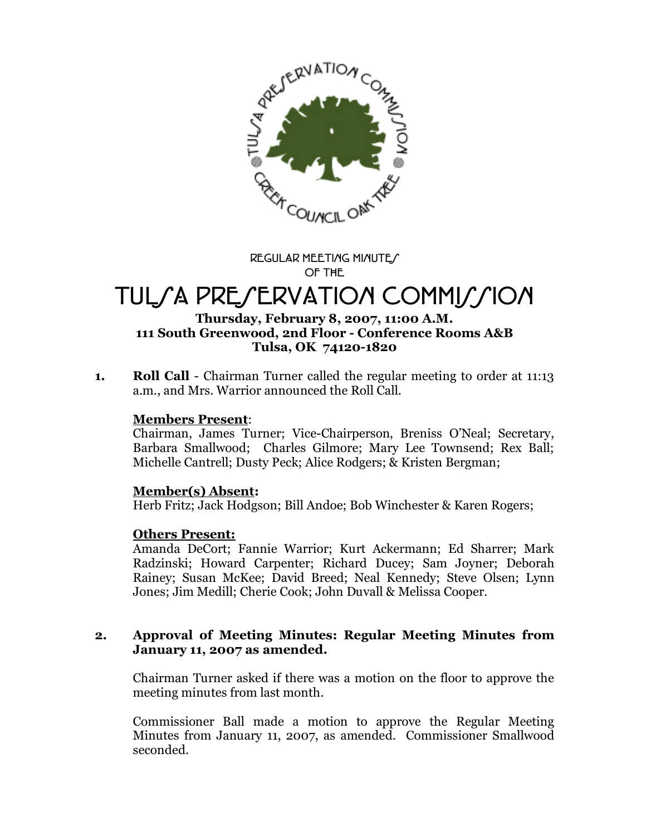

**REGULAR MEETING MINUTES OF THE**

# TUL*CA PRECERVATION COMMICCION*

### **Thursday, February 8, 2007, 11:00 A.M. 111 South Greenwood, 2nd Floor - Conference Rooms A&B Tulsa, OK 74120-1820**

**1. Roll Call** - Chairman Turner called the regular meeting to order at 11:13 a.m., and Mrs. Warrior announced the Roll Call.

### **Members Present**:

Chairman, James Turner; Vice-Chairperson, Breniss O'Neal; Secretary, Barbara Smallwood; Charles Gilmore; Mary Lee Townsend; Rex Ball; Michelle Cantrell; Dusty Peck; Alice Rodgers; & Kristen Bergman;

### **Member(s) Absent:**

Herb Fritz; Jack Hodgson; Bill Andoe; Bob Winchester & Karen Rogers;

### **Others Present:**

Amanda DeCort; Fannie Warrior; Kurt Ackermann; Ed Sharrer; Mark Radzinski; Howard Carpenter; Richard Ducey; Sam Joyner; Deborah Rainey; Susan McKee; David Breed; Neal Kennedy; Steve Olsen; Lynn Jones; Jim Medill; Cherie Cook; John Duvall & Melissa Cooper.

### **2. Approval of Meeting Minutes: Regular Meeting Minutes from January 11, 2007 as amended.**

Chairman Turner asked if there was a motion on the floor to approve the meeting minutes from last month.

Commissioner Ball made a motion to approve the Regular Meeting Minutes from January 11, 2007, as amended. Commissioner Smallwood seconded.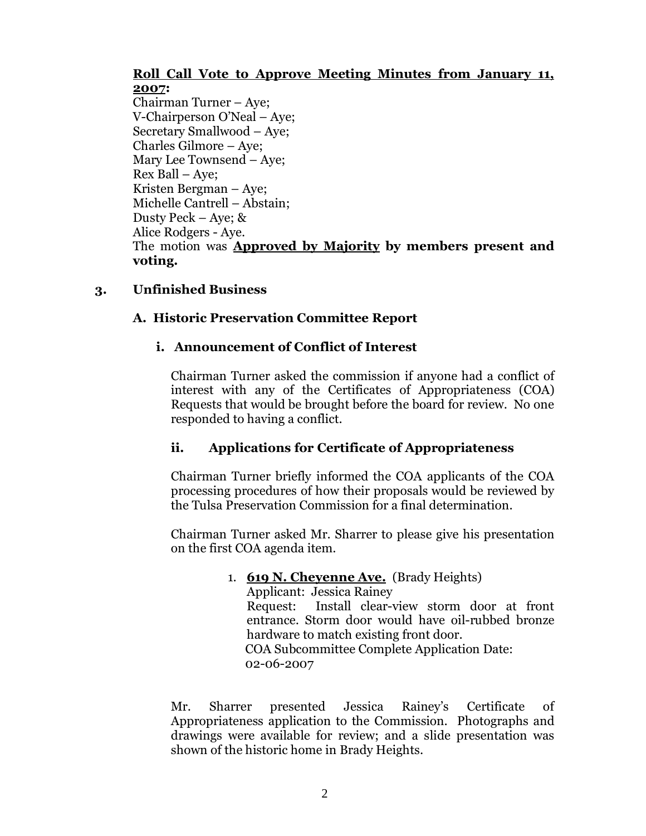### **Roll Call Vote to Approve Meeting Minutes from January 11, 2007:**

Chairman Turner – Aye; V-Chairperson O'Neal – Aye; Secretary Smallwood – Aye; Charles Gilmore – Aye; Mary Lee Townsend –Aye; Rex Ball – Aye; Kristen Bergman – Aye; Michelle Cantrell – Abstain; Dusty Peck – Aye; & Alice Rodgers - Aye. The motion was **Approved by Majority by members present and voting.**

# **3. Unfinished Business**

# **A. Historic Preservation Committee Report**

# **i. Announcement of Conflict of Interest**

Chairman Turner asked the commission if anyone had a conflict of interest with any of the Certificates of Appropriateness (COA) Requests that would be brought before the board for review. No one responded to having a conflict.

# **ii. Applications for Certificate of Appropriateness**

Chairman Turner briefly informed the COA applicants of the COA processing procedures of how their proposals would be reviewed by the Tulsa Preservation Commission for a final determination.

Chairman Turner asked Mr. Sharrer to please give his presentation on the first COA agenda item.

# 1. **619 N. Cheyenne Ave.** (Brady Heights)

Applicant: Jessica Rainey Request: Install clear-view storm door at front entrance. Storm door would have oil-rubbed bronze hardware to match existing front door. COA Subcommittee Complete Application Date: 02-06-2007

Mr. Sharrer presented Jessica Rainey's Certificate of Appropriateness application to the Commission. Photographs and drawings were available for review; and a slide presentation was shown of the historic home in Brady Heights.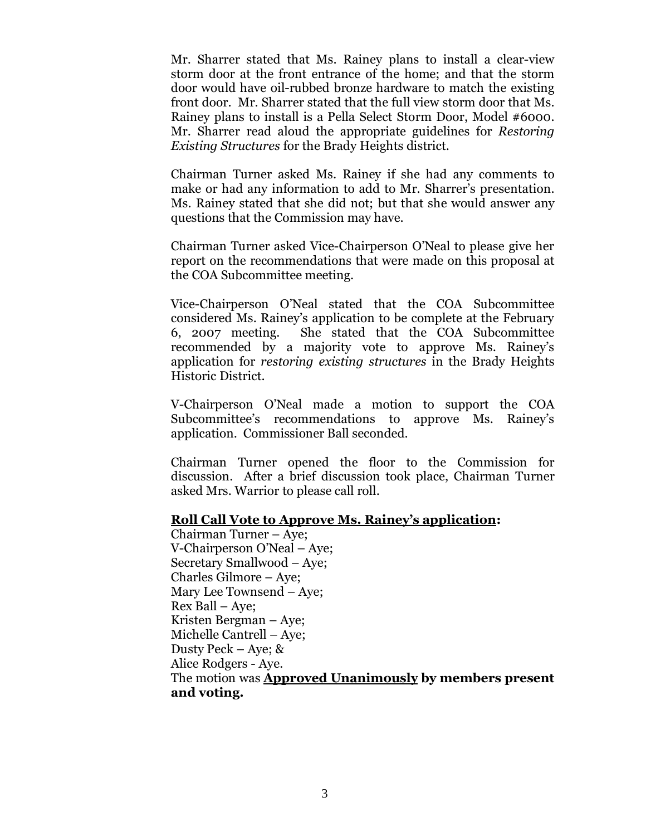Mr. Sharrer stated that Ms. Rainey plans to install a clear-view storm door at the front entrance of the home; and that the storm door would have oil-rubbed bronze hardware to match the existing front door. Mr. Sharrer stated that the full view storm door that Ms. Rainey plans to install is a Pella Select Storm Door, Model #6000. Mr. Sharrer read aloud the appropriate guidelines for *Restoring Existing Structures* for the Brady Heights district.

Chairman Turner asked Ms. Rainey if she had any comments to make or had any information to add to Mr. Sharrer's presentation. Ms. Rainey stated that she did not; but that she would answer any questions that the Commission may have.

Chairman Turner asked Vice-Chairperson O'Neal to please give her report on the recommendations that were made on this proposal at the COA Subcommittee meeting.

Vice-Chairperson O'Neal stated that the COA Subcommittee considered Ms. Rainey's application to be complete at the February 6, 2007 meeting. She stated that the COA Subcommittee recommended by a majority vote to approve Ms. Rainey's application for *restoring existing structures* in the Brady Heights Historic District.

V-Chairperson O'Neal made a motion to support the COA Subcommittee's recommendations to approve Ms. Rainey's application. Commissioner Ball seconded.

Chairman Turner opened the floor to the Commission for discussion. After a brief discussion took place, Chairman Turner asked Mrs. Warrior to please call roll.

#### **Roll Call Vote to Approve Ms. Rainey's application:**

Chairman Turner – Aye; V-Chairperson O'Neal – Aye; Secretary Smallwood – Aye; Charles Gilmore – Aye; Mary Lee Townsend –Aye; Rex Ball – Aye; Kristen Bergman – Aye; Michelle Cantrell – Aye; Dusty Peck – Aye; & Alice Rodgers - Aye. The motion was **Approved Unanimously by members present and voting.**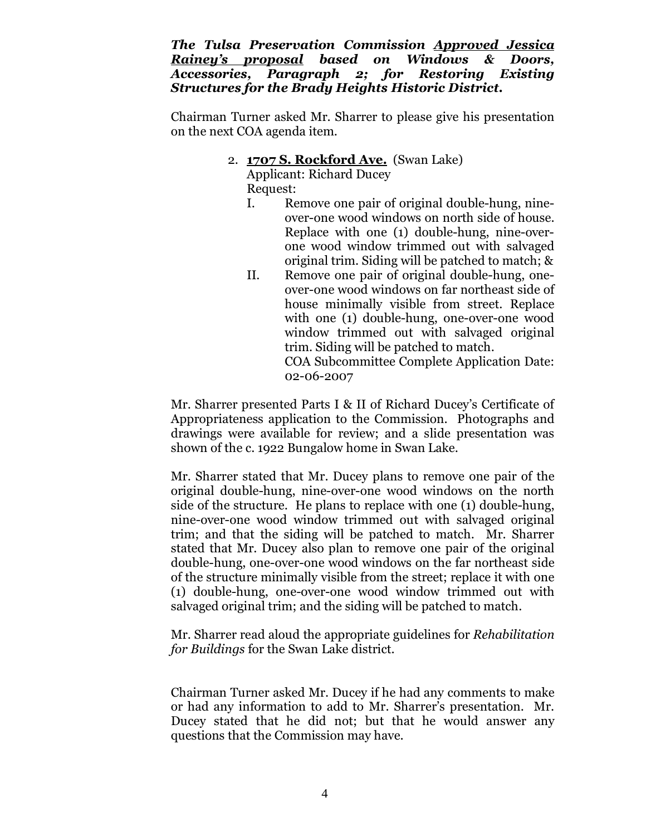*The Tulsa Preservation Commission Approved Jessica Rainey's proposal based on Windows & Doors, Accessories, Paragraph 2; for Restoring Existing Structures for the Brady Heights Historic District.*

Chairman Turner asked Mr. Sharrer to please give his presentation on the next COA agenda item.

### 2. **1707 S. Rockford Ave.** (Swan Lake)

Applicant: Richard Ducey Request:

- I. Remove one pair of original double-hung, nineover-one wood windows on north side of house. Replace with one (1) double-hung, nine-overone wood window trimmed out with salvaged original trim. Siding will be patched to match; &
- II. Remove one pair of original double-hung, oneover-one wood windows on far northeast side of house minimally visible from street. Replace with one (1) double-hung, one-over-one wood window trimmed out with salvaged original trim. Siding will be patched to match. COA Subcommittee Complete Application Date: 02-06-2007

Mr. Sharrer presented Parts I & II of Richard Ducey's Certificate of Appropriateness application to the Commission. Photographs and drawings were available for review; and a slide presentation was shown of the c. 1922 Bungalow home in Swan Lake.

Mr. Sharrer stated that Mr. Ducey plans to remove one pair of the original double-hung, nine-over-one wood windows on the north side of the structure. He plans to replace with one (1) double-hung, nine-over-one wood window trimmed out with salvaged original trim; and that the siding will be patched to match. Mr. Sharrer stated that Mr. Ducey also plan to remove one pair of the original double-hung, one-over-one wood windows on the far northeast side of the structure minimally visible from the street; replace it with one (1) double-hung, one-over-one wood window trimmed out with salvaged original trim; and the siding will be patched to match.

Mr. Sharrer read aloud the appropriate guidelines for *Rehabilitation for Buildings* for the Swan Lake district.

Chairman Turner asked Mr. Ducey if he had any comments to make or had any information to add to Mr. Sharrer's presentation. Mr. Ducey stated that he did not; but that he would answer any questions that the Commission may have.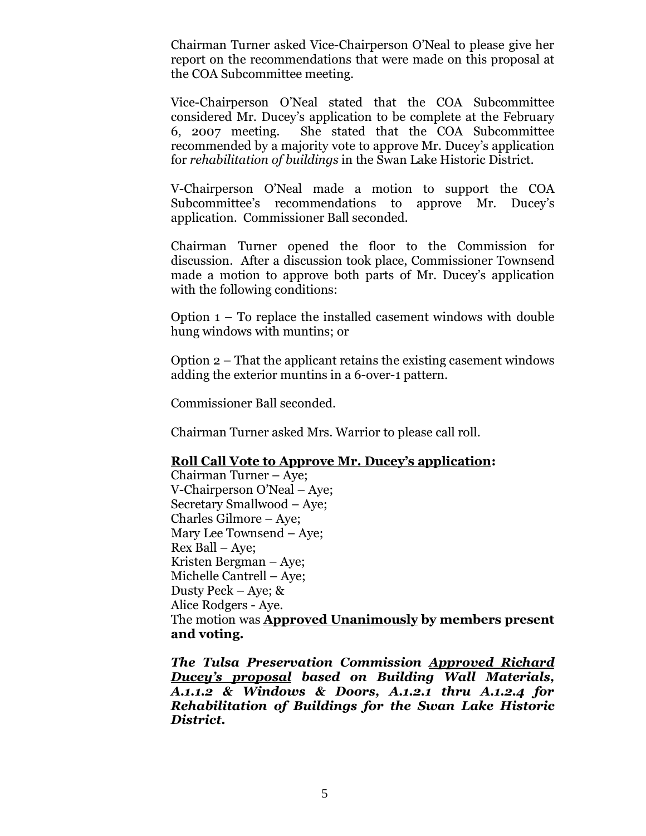Chairman Turner asked Vice-Chairperson O'Neal to please give her report on the recommendations that were made on this proposal at the COA Subcommittee meeting.

Vice-Chairperson O'Neal stated that the COA Subcommittee considered Mr. Ducey's application to be complete at the February 6, 2007 meeting. She stated that the COA Subcommittee recommended by a majority vote to approve Mr. Ducey's application for *rehabilitation of buildings* in the Swan Lake Historic District.

V-Chairperson O'Neal made a motion to support the COA Subcommittee's recommendations to approve Mr. Ducey's application. Commissioner Ball seconded.

Chairman Turner opened the floor to the Commission for discussion. After a discussion took place, Commissioner Townsend made a motion to approve both parts of Mr. Ducey's application with the following conditions:

Option 1 – To replace the installed casement windows with double hung windows with muntins; or

Option 2 – That the applicant retains the existing casement windows adding the exterior muntins in a 6-over-1 pattern.

Commissioner Ball seconded.

Chairman Turner asked Mrs. Warrior to please call roll.

### **Roll Call Vote to Approve Mr. Ducey's application:**

Chairman Turner – Aye; V-Chairperson O'Neal – Aye; Secretary Smallwood – Aye; Charles Gilmore – Aye; Mary Lee Townsend –Aye; Rex Ball – Aye; Kristen Bergman – Aye; Michelle Cantrell – Aye; Dusty Peck – Aye; & Alice Rodgers - Aye. The motion was **Approved Unanimously by members present and voting.**

*The Tulsa Preservation Commission Approved Richard Ducey's proposal based on Building Wall Materials, A.1.1.2 & Windows & Doors, A.1.2.1 thru A.1.2.4 for Rehabilitation of Buildings for the Swan Lake Historic District.*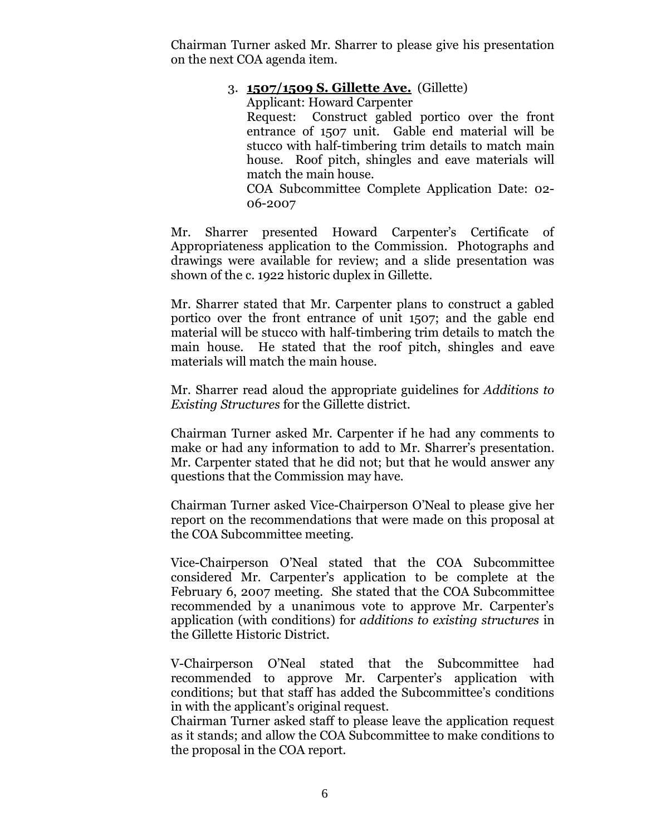Chairman Turner asked Mr. Sharrer to please give his presentation on the next COA agenda item.

# 3. **1507/1509 S. Gillette Ave.** (Gillette)

Applicant: Howard Carpenter Request: Construct gabled portico over the front entrance of 1507 unit. Gable end material will be stucco with half-timbering trim details to match main house. Roof pitch, shingles and eave materials will match the main house.

COA Subcommittee Complete Application Date: 02- 06-2007

Mr. Sharrer presented Howard Carpenter's Certificate of Appropriateness application to the Commission. Photographs and drawings were available for review; and a slide presentation was shown of the c. 1922 historic duplex in Gillette.

Mr. Sharrer stated that Mr. Carpenter plans to construct a gabled portico over the front entrance of unit 1507; and the gable end material will be stucco with half-timbering trim details to match the main house. He stated that the roof pitch, shingles and eave materials will match the main house.

Mr. Sharrer read aloud the appropriate guidelines for *Additions to Existing Structures* for the Gillette district.

Chairman Turner asked Mr. Carpenter if he had any comments to make or had any information to add to Mr. Sharrer's presentation. Mr. Carpenter stated that he did not; but that he would answer any questions that the Commission may have.

Chairman Turner asked Vice-Chairperson O'Neal to please give her report on the recommendations that were made on this proposal at the COA Subcommittee meeting.

Vice-Chairperson O'Neal stated that the COA Subcommittee considered Mr. Carpenter's application to be complete at the February 6, 2007 meeting. She stated that the COA Subcommittee recommended by a unanimous vote to approve Mr. Carpenter's application (with conditions) for *additions to existing structures* in the Gillette Historic District.

V-Chairperson O'Neal stated that the Subcommittee had recommended to approve Mr. Carpenter's application with conditions; but that staff has added the Subcommittee's conditions in with the applicant's original request.

Chairman Turner asked staff to please leave the application request as it stands; and allow the COA Subcommittee to make conditions to the proposal in the COA report.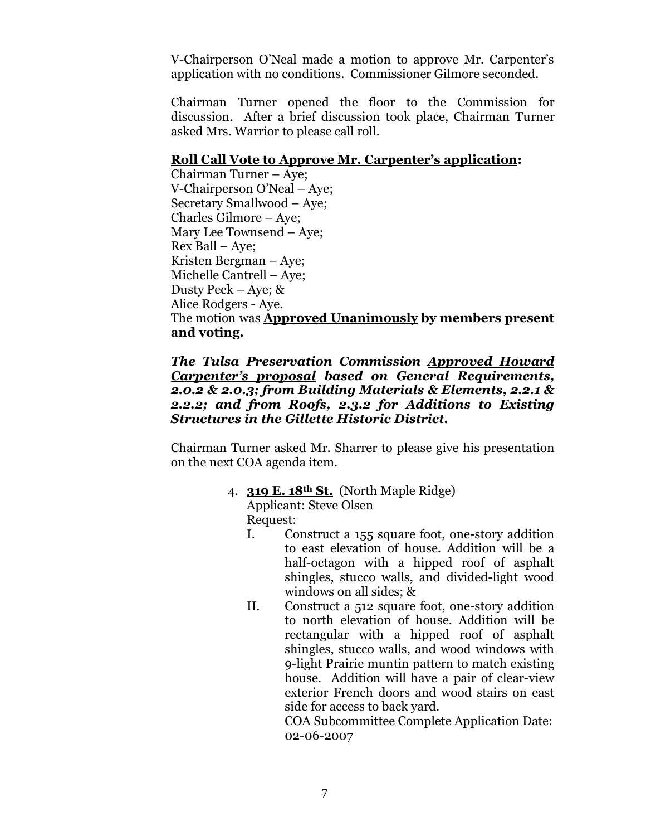V-Chairperson O'Neal made a motion to approve Mr. Carpenter's application with no conditions. Commissioner Gilmore seconded.

Chairman Turner opened the floor to the Commission for discussion. After a brief discussion took place, Chairman Turner asked Mrs. Warrior to please call roll.

### **Roll Call Vote to Approve Mr. Carpenter's application:**

Chairman Turner – Aye; V-Chairperson O'Neal – Aye; Secretary Smallwood – Aye; Charles Gilmore – Aye; Mary Lee Townsend –Aye; Rex Ball – Aye; Kristen Bergman – Aye; Michelle Cantrell – Aye; Dusty Peck – Aye; & Alice Rodgers - Aye. The motion was **Approved Unanimously by members present and voting.**

### *The Tulsa Preservation Commission Approved Howard Carpenter's proposal based on General Requirements, 2.0.2 & 2.0.3; from Building Materials & Elements, 2.2.1 & 2.2.2; and from Roofs, 2.3.2 for Additions to Existing Structures in the Gillette Historic District.*

Chairman Turner asked Mr. Sharrer to please give his presentation on the next COA agenda item.

# 4. **319 E. 18th St.** (North Maple Ridge)

Applicant: Steve Olsen Request:

- I. Construct a 155 square foot, one-story addition to east elevation of house. Addition will be a half-octagon with a hipped roof of asphalt shingles, stucco walls, and divided-light wood windows on all sides; &
- II. Construct a 512 square foot, one-story addition to north elevation of house. Addition will be rectangular with a hipped roof of asphalt shingles, stucco walls, and wood windows with 9-light Prairie muntin pattern to match existing house. Addition will have a pair of clear-view exterior French doors and wood stairs on east side for access to back yard.

COA Subcommittee Complete Application Date: 02-06-2007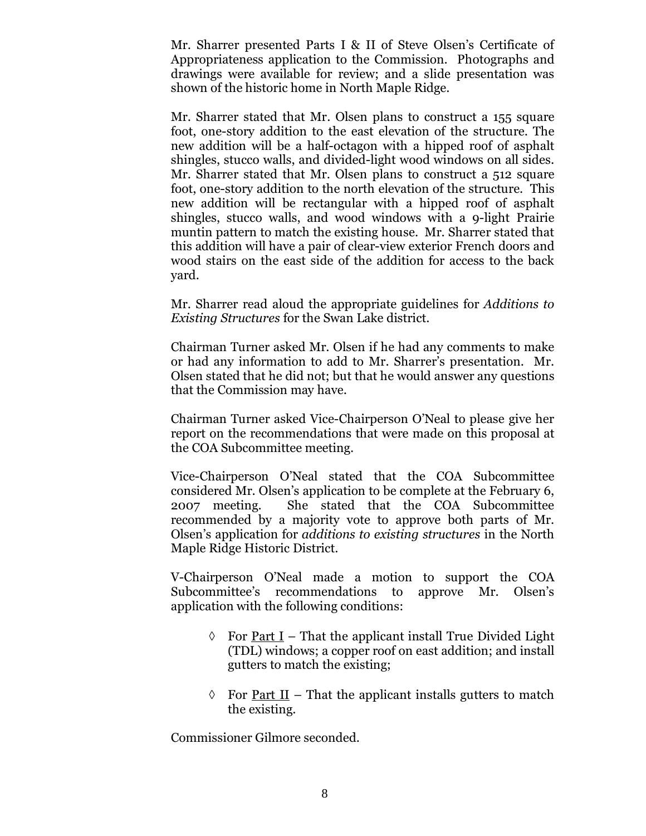Mr. Sharrer presented Parts I & II of Steve Olsen's Certificate of Appropriateness application to the Commission. Photographs and drawings were available for review; and a slide presentation was shown of the historic home in North Maple Ridge.

Mr. Sharrer stated that Mr. Olsen plans to construct a 155 square foot, one-story addition to the east elevation of the structure. The new addition will be a half-octagon with a hipped roof of asphalt shingles, stucco walls, and divided-light wood windows on all sides. Mr. Sharrer stated that Mr. Olsen plans to construct a 512 square foot, one-story addition to the north elevation of the structure. This new addition will be rectangular with a hipped roof of asphalt shingles, stucco walls, and wood windows with a 9-light Prairie muntin pattern to match the existing house. Mr. Sharrer stated that this addition will have a pair of clear-view exterior French doors and wood stairs on the east side of the addition for access to the back yard.

Mr. Sharrer read aloud the appropriate guidelines for *Additions to Existing Structures* for the Swan Lake district.

Chairman Turner asked Mr. Olsen if he had any comments to make or had any information to add to Mr. Sharrer's presentation. Mr. Olsen stated that he did not; but that he would answer any questions that the Commission may have.

Chairman Turner asked Vice-Chairperson O'Neal to please give her report on the recommendations that were made on this proposal at the COA Subcommittee meeting.

Vice-Chairperson O'Neal stated that the COA Subcommittee considered Mr. Olsen's application to be complete at the February 6, 2007 meeting. She stated that the COA Subcommittee recommended by a majority vote to approve both parts of Mr. Olsen's application for *additions to existing structures* in the North Maple Ridge Historic District.

V-Chairperson O'Neal made a motion to support the COA Subcommittee's recommendations to approve Mr. Olsen's application with the following conditions:

- $\Diamond$  For Part I That the applicant install True Divided Light (TDL) windows; a copper roof on east addition; and install gutters to match the existing;
- $\Diamond$  For Part II That the applicant installs gutters to match the existing.

Commissioner Gilmore seconded.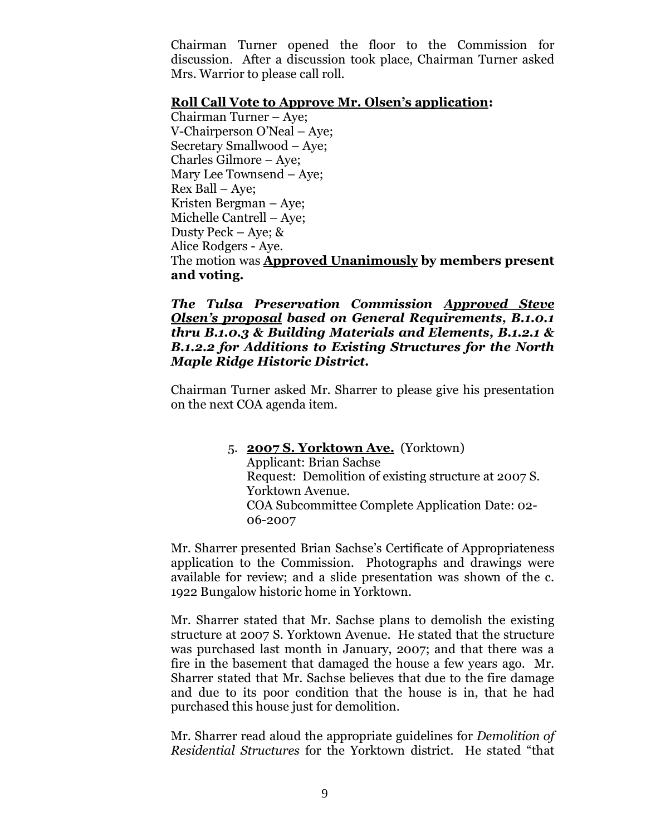Chairman Turner opened the floor to the Commission for discussion. After a discussion took place, Chairman Turner asked Mrs. Warrior to please call roll.

### **Roll Call Vote to Approve Mr. Olsen's application:**

Chairman Turner – Aye; V-Chairperson O'Neal – Aye; Secretary Smallwood – Aye; Charles Gilmore – Aye; Mary Lee Townsend –Aye; Rex Ball – Aye; Kristen Bergman – Aye; Michelle Cantrell – Aye; Dusty Peck – Aye; & Alice Rodgers - Aye. The motion was **Approved Unanimously by members present and voting.**

### *The Tulsa Preservation Commission Approved Steve Olsen's proposal based on General Requirements, B.1.0.1 thru B.1.0.3 & Building Materials and Elements, B.1.2.1 & B.1.2.2 for Additions to Existing Structures for the North Maple Ridge Historic District.*

Chairman Turner asked Mr. Sharrer to please give his presentation on the next COA agenda item.

> 5. **2007 S. Yorktown Ave.** (Yorktown) Applicant: Brian Sachse Request: Demolition of existing structure at 2007 S. Yorktown Avenue. COA Subcommittee Complete Application Date: 02- 06-2007

Mr. Sharrer presented Brian Sachse's Certificate of Appropriateness application to the Commission. Photographs and drawings were available for review; and a slide presentation was shown of the c. 1922 Bungalow historic home in Yorktown.

Mr. Sharrer stated that Mr. Sachse plans to demolish the existing structure at 2007 S. Yorktown Avenue. He stated that the structure was purchased last month in January, 2007; and that there was a fire in the basement that damaged the house a few years ago. Mr. Sharrer stated that Mr. Sachse believes that due to the fire damage and due to its poor condition that the house is in, that he had purchased this house just for demolition.

Mr. Sharrer read aloud the appropriate guidelines for *Demolition of Residential Structures* for the Yorktown district. He stated "that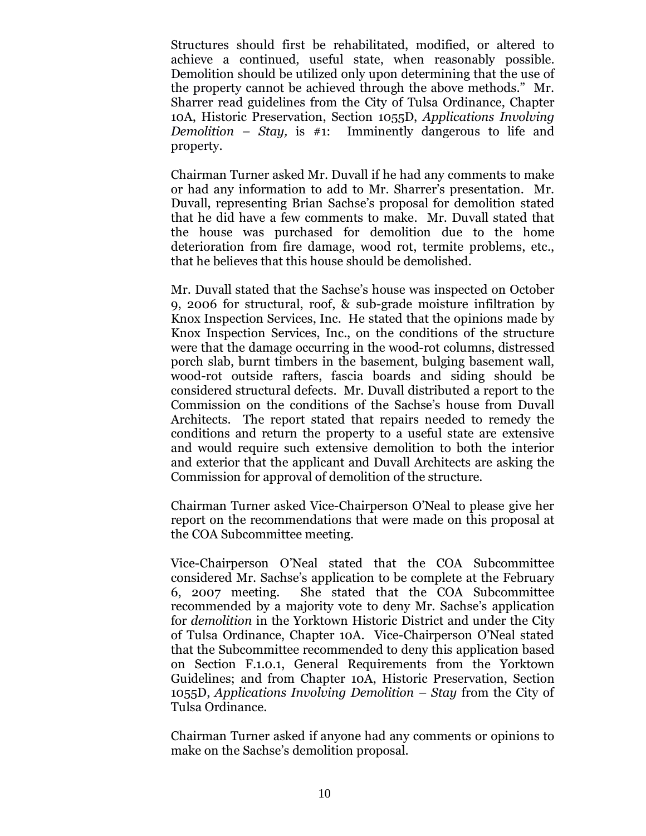Structures should first be rehabilitated, modified, or altered to achieve a continued, useful state, when reasonably possible. Demolition should be utilized only upon determining that the use of the property cannot be achieved through the above methods." Mr. Sharrer read guidelines from the City of Tulsa Ordinance, Chapter 10A, Historic Preservation, Section 1055D, *Applications Involving Demolition – Stay,* is #1: Imminently dangerous to life and property.

Chairman Turner asked Mr. Duvall if he had any comments to make or had any information to add to Mr. Sharrer's presentation. Mr. Duvall, representing Brian Sachse's proposal for demolition stated that he did have a few comments to make. Mr. Duvall stated that the house was purchased for demolition due to the home deterioration from fire damage, wood rot, termite problems, etc., that he believes that this house should be demolished.

Mr. Duvall stated that the Sachse's house was inspected on October 9, 2006 for structural, roof, & sub-grade moisture infiltration by Knox Inspection Services, Inc. He stated that the opinions made by Knox Inspection Services, Inc., on the conditions of the structure were that the damage occurring in the wood-rot columns, distressed porch slab, burnt timbers in the basement, bulging basement wall, wood-rot outside rafters, fascia boards and siding should be considered structural defects. Mr. Duvall distributed a report to the Commission on the conditions of the Sachse's house from Duvall Architects. The report stated that repairs needed to remedy the conditions and return the property to a useful state are extensive and would require such extensive demolition to both the interior and exterior that the applicant and Duvall Architects are asking the Commission for approval of demolition of the structure.

Chairman Turner asked Vice-Chairperson O'Neal to please give her report on the recommendations that were made on this proposal at the COA Subcommittee meeting.

Vice-Chairperson O'Neal stated that the COA Subcommittee considered Mr. Sachse's application to be complete at the February 6, 2007 meeting. She stated that the COA Subcommittee recommended by a majority vote to deny Mr. Sachse's application for *demolition* in the Yorktown Historic District and under the City of Tulsa Ordinance, Chapter 10A. Vice-Chairperson O'Neal stated that the Subcommittee recommended to deny this application based on Section F.1.0.1, General Requirements from the Yorktown Guidelines; and from Chapter 10A, Historic Preservation, Section 1055D, *Applications Involving Demolition* –*Stay* from the City of Tulsa Ordinance.

Chairman Turner asked if anyone had any comments or opinions to make on the Sachse's demolition proposal.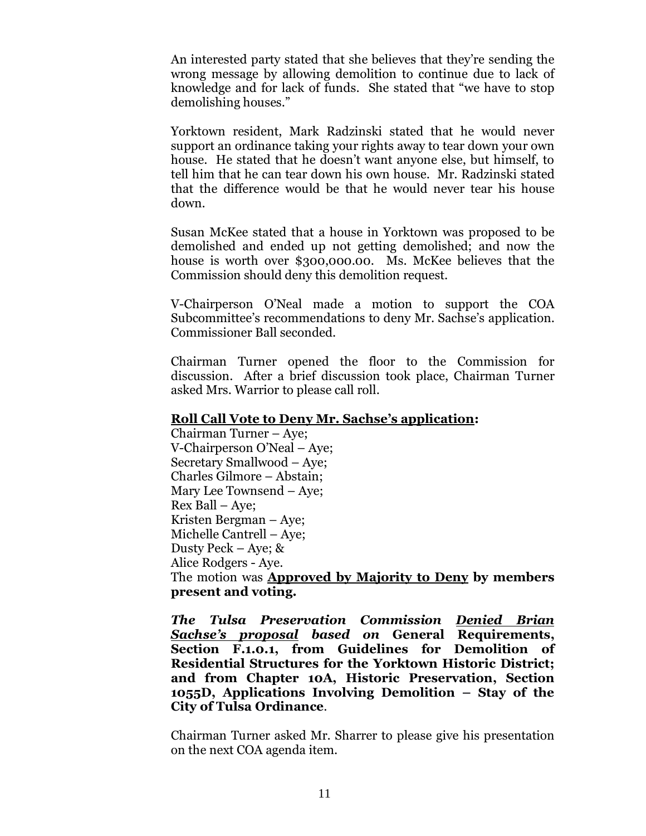An interested party stated that she believes that they're sending the wrong message by allowing demolition to continue due to lack of knowledge and for lack of funds. She stated that "we have to stop demolishing houses."

Yorktown resident, Mark Radzinski stated that he would never support an ordinance taking your rights away to tear down your own house. He stated that he doesn't want anyone else, but himself, to tell him that he can tear down his own house. Mr. Radzinski stated that the difference would be that he would never tear his house down.

Susan McKee stated that a house in Yorktown was proposed to be demolished and ended up not getting demolished; and now the house is worth over \$300,000.00. Ms. McKee believes that the Commission should deny this demolition request.

V-Chairperson O'Neal made a motion to support the COA Subcommittee's recommendations to deny Mr. Sachse's application. Commissioner Ball seconded.

Chairman Turner opened the floor to the Commission for discussion. After a brief discussion took place, Chairman Turner asked Mrs. Warrior to please call roll.

#### **Roll Call Vote to Deny Mr. Sachse's application:**

Chairman Turner – Aye; V-Chairperson O'Neal – Aye; Secretary Smallwood – Aye; Charles Gilmore – Abstain; Mary Lee Townsend –Aye; Rex Ball – Aye; Kristen Bergman – Aye; Michelle Cantrell – Aye; Dusty Peck – Aye; & Alice Rodgers - Aye. The motion was **Approved by Majority to Deny by members present and voting.**

*The Tulsa Preservation Commission Denied Brian Sachse's proposal based on* **General Requirements, Section F.1.0.1, from Guidelines for Demolition of Residential Structures for the Yorktown Historic District; and from Chapter 10A, Historic Preservation, Section 1055D, Applications Involving Demolition – Stay of the City of Tulsa Ordinance**.

Chairman Turner asked Mr. Sharrer to please give his presentation on the next COA agenda item.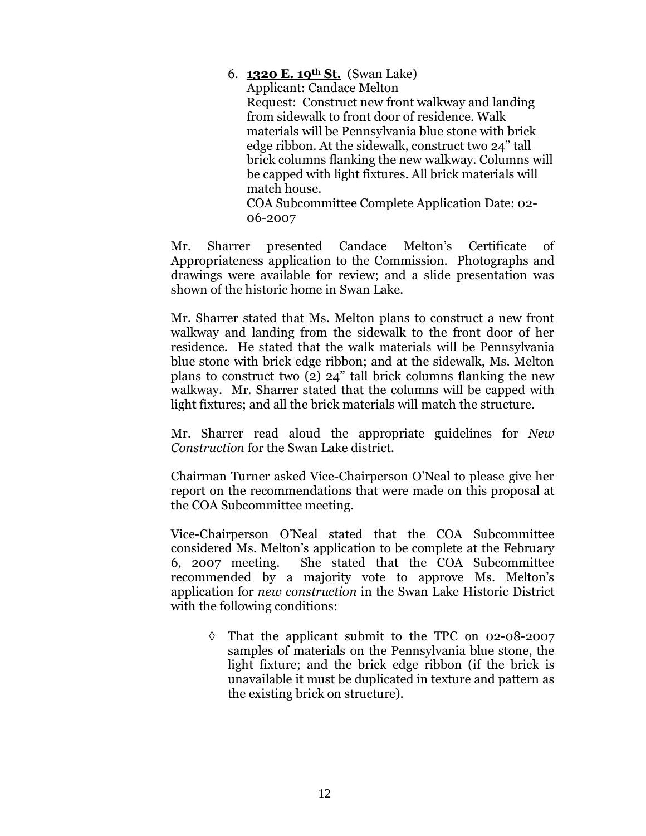### 6. **1320 E. 19th St.** (Swan Lake) Applicant: Candace Melton Request: Construct new front walkway and landing from sidewalk to front door of residence. Walk materials will be Pennsylvania blue stone with brick edge ribbon. At the sidewalk, construct two 24" tall brick columns flanking the new walkway. Columns will be capped with light fixtures. All brick materials will match house. COA Subcommittee Complete Application Date: 02- 06-2007

Mr. Sharrer presented Candace Melton's Certificate of Appropriateness application to the Commission. Photographs and drawings were available for review; and a slide presentation was shown of the historic home in Swan Lake.

Mr. Sharrer stated that Ms. Melton plans to construct a new front walkway and landing from the sidewalk to the front door of her residence. He stated that the walk materials will be Pennsylvania blue stone with brick edge ribbon; and at the sidewalk, Ms. Melton plans to construct two (2) 24" tall brick columns flanking the new walkway. Mr. Sharrer stated that the columns will be capped with light fixtures; and all the brick materials will match the structure.

Mr. Sharrer read aloud the appropriate guidelines for *New Construction* for the Swan Lake district.

Chairman Turner asked Vice-Chairperson O'Neal to please give her report on the recommendations that were made on this proposal at the COA Subcommittee meeting.

Vice-Chairperson O'Neal stated that the COA Subcommittee considered Ms. Melton's application to be complete at the February 6, 2007 meeting. She stated that the COA Subcommittee recommended by a majority vote to approve Ms. Melton's application for *new construction* in the Swan Lake Historic District with the following conditions:

 $\Diamond$  That the applicant submit to the TPC on 02-08-2007 samples of materials on the Pennsylvania blue stone, the light fixture; and the brick edge ribbon (if the brick is unavailable it must be duplicated in texture and pattern as the existing brick on structure).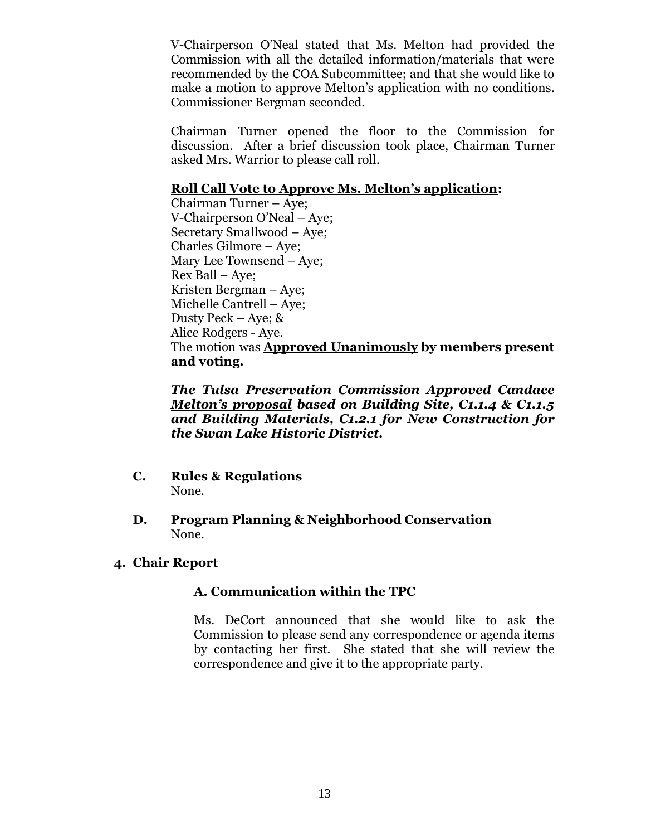V-Chairperson O'Neal stated that Ms. Melton had provided the Commission with all the detailed information/materials that were recommended by the COA Subcommittee; and that she would like to make a motion to approve Melton's application with no conditions. Commissioner Bergman seconded.

Chairman Turner opened the floor to the Commission for discussion. After a brief discussion took place, Chairman Turner asked Mrs. Warrior to please call roll.

### **Roll Call Vote to Approve Ms. Melton's application:**

Chairman Turner – Aye; V-Chairperson O'Neal – Aye; Secretary Smallwood – Aye; Charles Gilmore – Aye; Mary Lee Townsend –Aye; Rex Ball – Aye; Kristen Bergman – Aye; Michelle Cantrell – Aye; Dusty Peck – Aye; & Alice Rodgers - Aye. The motion was **Approved Unanimously by members present and voting.**

*The Tulsa Preservation Commission Approved Candace Melton's proposal based on Building Site, C1.1.4 & C1.1.5 and Building Materials, C1.2.1 for New Construction for the Swan Lake Historic District.*

- **C. Rules & Regulations** None.
- **D. Program Planning & Neighborhood Conservation** None.
- **4. Chair Report**

### **A. Communication within the TPC**

Ms. DeCort announced that she would like to ask the Commission to please send any correspondence or agenda items by contacting her first. She stated that she will review the correspondence and give it to the appropriate party.